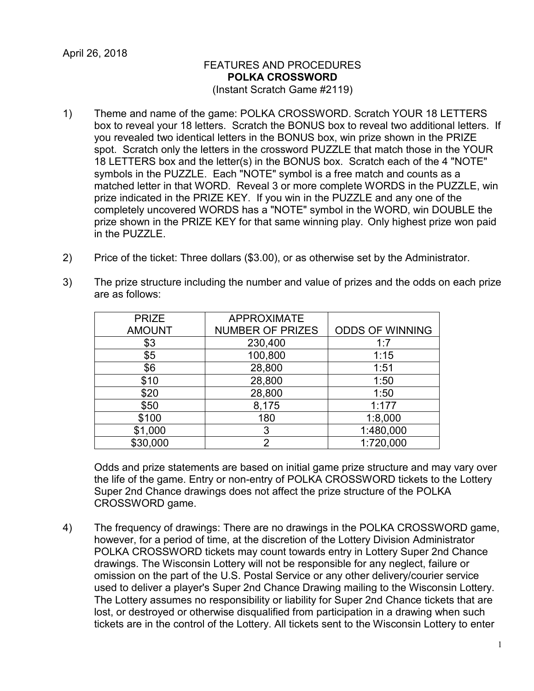## FEATURES AND PROCEDURES **POLKA CROSSWORD** (Instant Scratch Game #2119)

- 1) Theme and name of the game: POLKA CROSSWORD. Scratch YOUR 18 LETTERS box to reveal your 18 letters. Scratch the BONUS box to reveal two additional letters. If you revealed two identical letters in the BONUS box, win prize shown in the PRIZE spot. Scratch only the letters in the crossword PUZZLE that match those in the YOUR 18 LETTERS box and the letter(s) in the BONUS box. Scratch each of the 4 "NOTE" symbols in the PUZZLE. Each "NOTE" symbol is a free match and counts as a matched letter in that WORD. Reveal 3 or more complete WORDS in the PUZZLE, win prize indicated in the PRIZE KEY. If you win in the PUZZLE and any one of the completely uncovered WORDS has a "NOTE" symbol in the WORD, win DOUBLE the prize shown in the PRIZE KEY for that same winning play. Only highest prize won paid in the PUZZLE.
- 2) Price of the ticket: Three dollars (\$3.00), or as otherwise set by the Administrator.

| <b>PRIZE</b>  | <b>APPROXIMATE</b>      |                        |
|---------------|-------------------------|------------------------|
| <b>AMOUNT</b> | <b>NUMBER OF PRIZES</b> | <b>ODDS OF WINNING</b> |
| \$3           | 230,400                 | 1:7                    |
| \$5           | 100,800                 | 1:15                   |
| \$6           | 28,800                  | 1:51                   |
| \$10          | 28,800                  | 1:50                   |
| \$20          | 28,800                  | 1:50                   |
| \$50          | 8,175                   | 1:177                  |
| \$100         | 180                     | 1:8,000                |

\$1,000 3 1:480,000 \$30,000 2 1:720,000

3) The prize structure including the number and value of prizes and the odds on each prize are as follows:

Odds and prize statements are based on initial game prize structure and may vary over the life of the game. Entry or non-entry of POLKA CROSSWORD tickets to the Lottery Super 2nd Chance drawings does not affect the prize structure of the POLKA CROSSWORD game.

4) The frequency of drawings: There are no drawings in the POLKA CROSSWORD game, however, for a period of time, at the discretion of the Lottery Division Administrator POLKA CROSSWORD tickets may count towards entry in Lottery Super 2nd Chance drawings. The Wisconsin Lottery will not be responsible for any neglect, failure or omission on the part of the U.S. Postal Service or any other delivery/courier service used to deliver a player's Super 2nd Chance Drawing mailing to the Wisconsin Lottery. The Lottery assumes no responsibility or liability for Super 2nd Chance tickets that are lost, or destroyed or otherwise disqualified from participation in a drawing when such tickets are in the control of the Lottery. All tickets sent to the Wisconsin Lottery to enter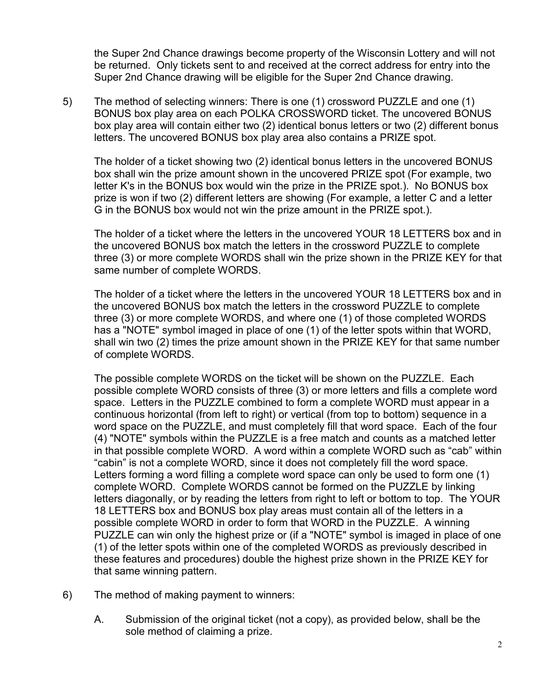the Super 2nd Chance drawings become property of the Wisconsin Lottery and will not be returned. Only tickets sent to and received at the correct address for entry into the Super 2nd Chance drawing will be eligible for the Super 2nd Chance drawing.

5) The method of selecting winners: There is one (1) crossword PUZZLE and one (1) BONUS box play area on each POLKA CROSSWORD ticket. The uncovered BONUS box play area will contain either two (2) identical bonus letters or two (2) different bonus letters. The uncovered BONUS box play area also contains a PRIZE spot.

The holder of a ticket showing two (2) identical bonus letters in the uncovered BONUS box shall win the prize amount shown in the uncovered PRIZE spot (For example, two letter K's in the BONUS box would win the prize in the PRIZE spot.). No BONUS box prize is won if two (2) different letters are showing (For example, a letter C and a letter G in the BONUS box would not win the prize amount in the PRIZE spot.).

The holder of a ticket where the letters in the uncovered YOUR 18 LETTERS box and in the uncovered BONUS box match the letters in the crossword PUZZLE to complete three (3) or more complete WORDS shall win the prize shown in the PRIZE KEY for that same number of complete WORDS.

The holder of a ticket where the letters in the uncovered YOUR 18 LETTERS box and in the uncovered BONUS box match the letters in the crossword PUZZLE to complete three (3) or more complete WORDS, and where one (1) of those completed WORDS has a "NOTE" symbol imaged in place of one (1) of the letter spots within that WORD, shall win two (2) times the prize amount shown in the PRIZE KEY for that same number of complete WORDS.

The possible complete WORDS on the ticket will be shown on the PUZZLE. Each possible complete WORD consists of three (3) or more letters and fills a complete word space. Letters in the PUZZLE combined to form a complete WORD must appear in a continuous horizontal (from left to right) or vertical (from top to bottom) sequence in a word space on the PUZZLE, and must completely fill that word space. Each of the four (4) "NOTE" symbols within the PUZZLE is a free match and counts as a matched letter in that possible complete WORD. A word within a complete WORD such as "cab" within "cabin" is not a complete WORD, since it does not completely fill the word space. Letters forming a word filling a complete word space can only be used to form one (1) complete WORD. Complete WORDS cannot be formed on the PUZZLE by linking letters diagonally, or by reading the letters from right to left or bottom to top. The YOUR 18 LETTERS box and BONUS box play areas must contain all of the letters in a possible complete WORD in order to form that WORD in the PUZZLE. A winning PUZZLE can win only the highest prize or (if a "NOTE" symbol is imaged in place of one (1) of the letter spots within one of the completed WORDS as previously described in these features and procedures) double the highest prize shown in the PRIZE KEY for that same winning pattern.

- 6) The method of making payment to winners:
	- A. Submission of the original ticket (not a copy), as provided below, shall be the sole method of claiming a prize.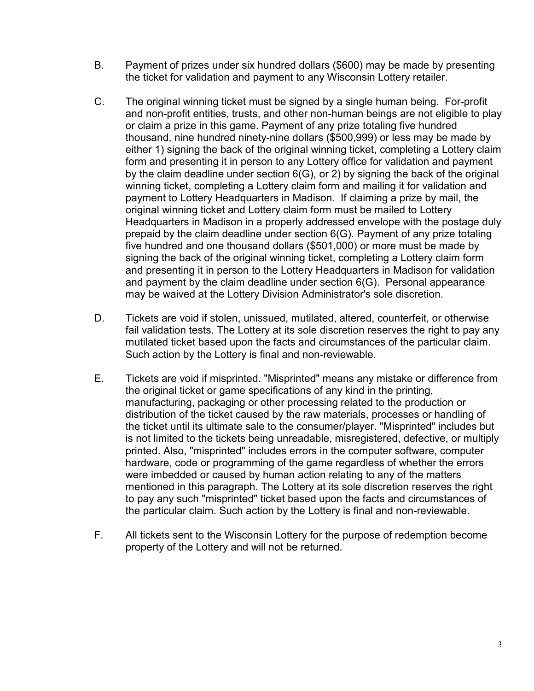- B. Payment of prizes under six hundred dollars (\$600) may be made by presenting the ticket for validation and payment to any Wisconsin Lottery retailer.
- C. The original winning ticket must be signed by a single human being. For-profit and non-profit entities, trusts, and other non-human beings are not eligible to play or claim a prize in this game. Payment of any prize totaling five hundred thousand, nine hundred ninety-nine dollars (\$500,999) or less may be made by either 1) signing the back of the original winning ticket, completing a Lottery claim form and presenting it in person to any Lottery office for validation and payment by the claim deadline under section 6(G), or 2) by signing the back of the original winning ticket, completing a Lottery claim form and mailing it for validation and payment to Lottery Headquarters in Madison. If claiming a prize by mail, the original winning ticket and Lottery claim form must be mailed to Lottery Headquarters in Madison in a properly addressed envelope with the postage duly prepaid by the claim deadline under section 6(G). Payment of any prize totaling five hundred and one thousand dollars (\$501,000) or more must be made by signing the back of the original winning ticket, completing a Lottery claim form and presenting it in person to the Lottery Headquarters in Madison for validation and payment by the claim deadline under section 6(G). Personal appearance may be waived at the Lottery Division Administrator's sole discretion.
- D. Tickets are void if stolen, unissued, mutilated, altered, counterfeit, or otherwise fail validation tests. The Lottery at its sole discretion reserves the right to pay any mutilated ticket based upon the facts and circumstances of the particular claim. Such action by the Lottery is final and non-reviewable.
- E. Tickets are void if misprinted. "Misprinted" means any mistake or difference from the original ticket or game specifications of any kind in the printing, manufacturing, packaging or other processing related to the production or distribution of the ticket caused by the raw materials, processes or handling of the ticket until its ultimate sale to the consumer/player. "Misprinted" includes but is not limited to the tickets being unreadable, misregistered, defective, or multiply printed. Also, "misprinted" includes errors in the computer software, computer hardware, code or programming of the game regardless of whether the errors were imbedded or caused by human action relating to any of the matters mentioned in this paragraph. The Lottery at its sole discretion reserves the right to pay any such "misprinted" ticket based upon the facts and circumstances of the particular claim. Such action by the Lottery is final and non-reviewable.
- F. All tickets sent to the Wisconsin Lottery for the purpose of redemption become property of the Lottery and will not be returned.